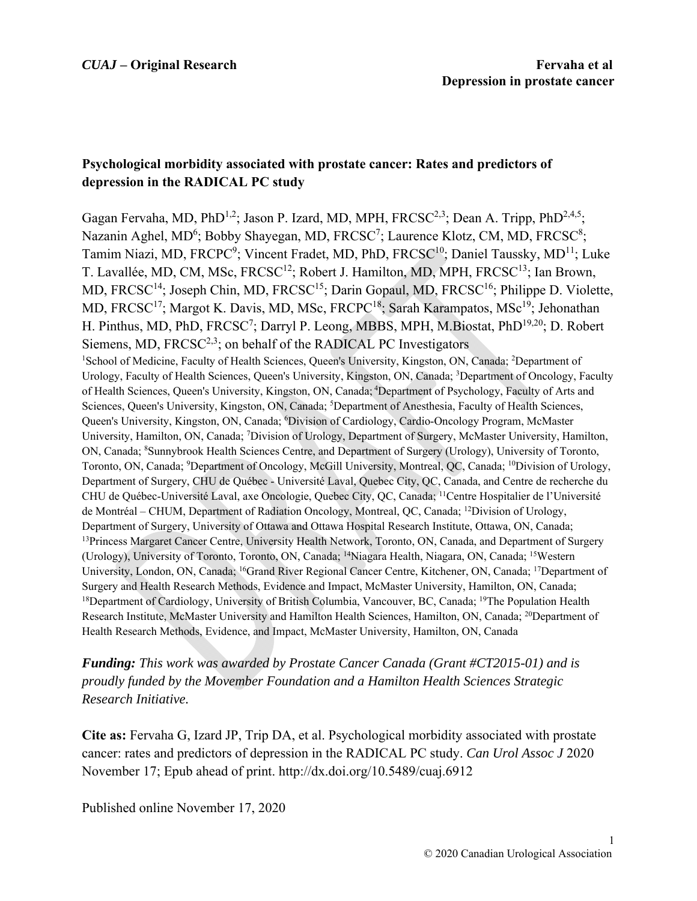# **Psychological morbidity associated with prostate cancer: Rates and predictors of depression in the RADICAL PC study**

Gagan Fervaha, MD, PhD<sup>1,2</sup>; Jason P. Izard, MD, MPH, FRCSC<sup>2,3</sup>; Dean A. Tripp, PhD<sup>2,4,5</sup>; Nazanin Aghel, MD<sup>6</sup>; Bobby Shayegan, MD, FRCSC<sup>7</sup>; Laurence Klotz, CM, MD, FRCSC<sup>8</sup>; Tamim Niazi, MD, FRCPC<sup>9</sup>; Vincent Fradet, MD, PhD, FRCSC<sup>10</sup>; Daniel Taussky, MD<sup>11</sup>; Luke T. Lavallée, MD, CM, MSc, FRCSC<sup>12</sup>; Robert J. Hamilton, MD, MPH, FRCSC<sup>13</sup>; Ian Brown, MD, FRCSC<sup>14</sup>; Joseph Chin, MD, FRCSC<sup>15</sup>; Darin Gopaul, MD, FRCSC<sup>16</sup>; Philippe D. Violette, MD, FRCSC<sup>17</sup>; Margot K. Davis, MD, MSc, FRCPC<sup>18</sup>; Sarah Karampatos, MSc<sup>19</sup>; Jehonathan H. Pinthus, MD, PhD, FRCSC<sup>7</sup>; Darryl P. Leong, MBBS, MPH, M.Biostat, PhD<sup>19,20</sup>; D. Robert Siemens, MD,  $FRCSC^{2,3}$ ; on behalf of the RADICAL PC Investigators School of Medicine, Faculty of Health Sciences, Queen's University, Kingston, ON, Canada; <sup>2</sup>Department of Urology, Faculty of Health Sciences, Queen's University, Kingston, ON, Canada; <sup>3</sup>Department of Oncology, Faculty of Health Sciences, Queen's University, Kingston, ON, Canada; 4Department of Psychology, Faculty of Arts and Sciences, Queen's University, Kingston, ON, Canada; <sup>5</sup>Department of Anesthesia, Faculty of Health Sciences, Queen's University, Kingston, ON, Canada; <sup>6</sup>Division of Cardiology, Cardio-Oncology Program, McMaster University, Hamilton, ON, Canada; <sup>7</sup>Division of Urology, Department of Surgery, McMaster University, Hamilton, ON, Canada; <sup>8</sup>Sunnybrook Health Sciences Centre, and Department of Surgery (Urology), University of Toronto, Toronto, ON, Canada; <sup>9</sup>Department of Oncology, McGill University, Montreal, QC, Canada; <sup>10</sup>Division of Urology, Department of Surgery, CHU de Québec - Université Laval, Quebec City, QC, Canada, and Centre de recherche du CHU de Québec-Université Laval, axe Oncologie, Quebec City, QC, Canada; 11Centre Hospitalier de l'Université de Montréal – CHUM, Department of Radiation Oncology, Montreal, QC, Canada; 12Division of Urology, Department of Surgery, University of Ottawa and Ottawa Hospital Research Institute, Ottawa, ON, Canada; <sup>13</sup>Princess Margaret Cancer Centre, University Health Network, Toronto, ON, Canada, and Department of Surgery (Urology), University of Toronto, Toronto, ON, Canada; 14Niagara Health, Niagara, ON, Canada; 15Western University, London, ON, Canada; 16Grand River Regional Cancer Centre, Kitchener, ON, Canada; 17Department of Surgery and Health Research Methods, Evidence and Impact, McMaster University, Hamilton, ON, Canada; <sup>18</sup>Department of Cardiology, University of British Columbia, Vancouver, BC, Canada; <sup>19</sup>The Population Health Research Institute, McMaster University and Hamilton Health Sciences, Hamilton, ON, Canada; 20Department of Health Research Methods, Evidence, and Impact, McMaster University, Hamilton, ON, Canada

*Funding: This work was awarded by Prostate Cancer Canada (Grant #CT2015-01) and is proudly funded by the Movember Foundation and a Hamilton Health Sciences Strategic Research Initiative.* 

**Cite as:** Fervaha G, Izard JP, Trip DA, et al. Psychological morbidity associated with prostate cancer: rates and predictors of depression in the RADICAL PC study. *Can Urol Assoc J* 2020 November 17; Epub ahead of print. http://dx.doi.org/10.5489/cuaj.6912

Published online November 17, 2020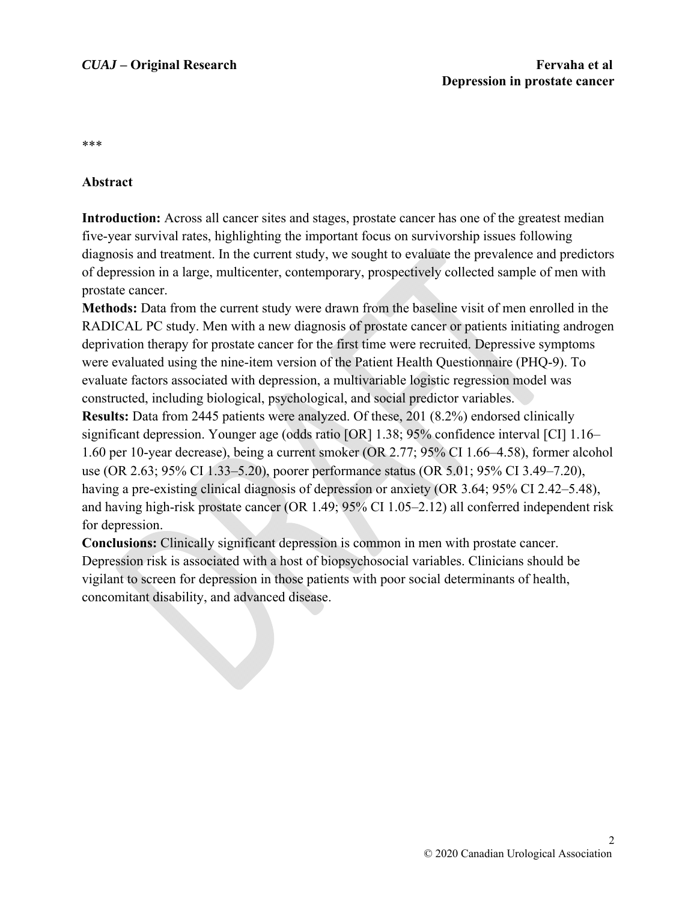\*\*\*

## **Abstract**

**Introduction:** Across all cancer sites and stages, prostate cancer has one of the greatest median five-year survival rates, highlighting the important focus on survivorship issues following diagnosis and treatment. In the current study, we sought to evaluate the prevalence and predictors of depression in a large, multicenter, contemporary, prospectively collected sample of men with prostate cancer.

**Methods:** Data from the current study were drawn from the baseline visit of men enrolled in the RADICAL PC study. Men with a new diagnosis of prostate cancer or patients initiating androgen deprivation therapy for prostate cancer for the first time were recruited. Depressive symptoms were evaluated using the nine-item version of the Patient Health Questionnaire (PHQ-9). To evaluate factors associated with depression, a multivariable logistic regression model was constructed, including biological, psychological, and social predictor variables.

**Results:** Data from 2445 patients were analyzed. Of these, 201 (8.2%) endorsed clinically significant depression. Younger age (odds ratio [OR] 1.38; 95% confidence interval [CI] 1.16– 1.60 per 10-year decrease), being a current smoker (OR 2.77; 95% CI 1.66–4.58), former alcohol use (OR 2.63; 95% CI 1.33–5.20), poorer performance status (OR 5.01; 95% CI 3.49–7.20), having a pre-existing clinical diagnosis of depression or anxiety (OR 3.64; 95% CI 2.42–5.48), and having high-risk prostate cancer (OR 1.49; 95% CI 1.05–2.12) all conferred independent risk for depression.

**Conclusions:** Clinically significant depression is common in men with prostate cancer. Depression risk is associated with a host of biopsychosocial variables. Clinicians should be vigilant to screen for depression in those patients with poor social determinants of health, concomitant disability, and advanced disease.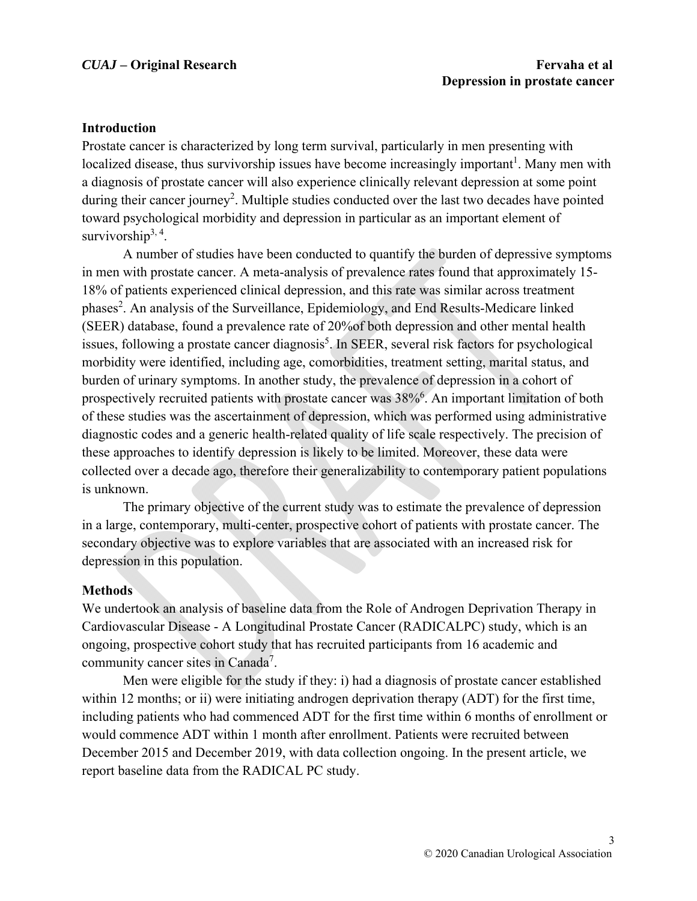### **Introduction**

Prostate cancer is characterized by long term survival, particularly in men presenting with localized disease, thus survivorship issues have become increasingly important<sup>1</sup>. Many men with a diagnosis of prostate cancer will also experience clinically relevant depression at some point during their cancer journey<sup>2</sup>. Multiple studies conducted over the last two decades have pointed toward psychological morbidity and depression in particular as an important element of survivorship<sup>3, 4</sup>.

A number of studies have been conducted to quantify the burden of depressive symptoms in men with prostate cancer. A meta-analysis of prevalence rates found that approximately 15- 18% of patients experienced clinical depression, and this rate was similar across treatment phases<sup>2</sup>. An analysis of the Surveillance, Epidemiology, and End Results-Medicare linked (SEER) database, found a prevalence rate of 20%of both depression and other mental health issues, following a prostate cancer diagnosis<sup>5</sup>. In SEER, several risk factors for psychological morbidity were identified, including age, comorbidities, treatment setting, marital status, and burden of urinary symptoms. In another study, the prevalence of depression in a cohort of prospectively recruited patients with prostate cancer was  $38\%$ <sup>6</sup>. An important limitation of both of these studies was the ascertainment of depression, which was performed using administrative diagnostic codes and a generic health-related quality of life scale respectively. The precision of these approaches to identify depression is likely to be limited. Moreover, these data were collected over a decade ago, therefore their generalizability to contemporary patient populations is unknown.

The primary objective of the current study was to estimate the prevalence of depression in a large, contemporary, multi-center, prospective cohort of patients with prostate cancer. The secondary objective was to explore variables that are associated with an increased risk for depression in this population.

## **Methods**

We undertook an analysis of baseline data from the Role of Androgen Deprivation Therapy in Cardiovascular Disease - A Longitudinal Prostate Cancer (RADICALPC) study, which is an ongoing, prospective cohort study that has recruited participants from 16 academic and community cancer sites in Canada<sup>7</sup>.

Men were eligible for the study if they: i) had a diagnosis of prostate cancer established within 12 months; or ii) were initiating androgen deprivation therapy (ADT) for the first time, including patients who had commenced ADT for the first time within 6 months of enrollment or would commence ADT within 1 month after enrollment. Patients were recruited between December 2015 and December 2019, with data collection ongoing. In the present article, we report baseline data from the RADICAL PC study.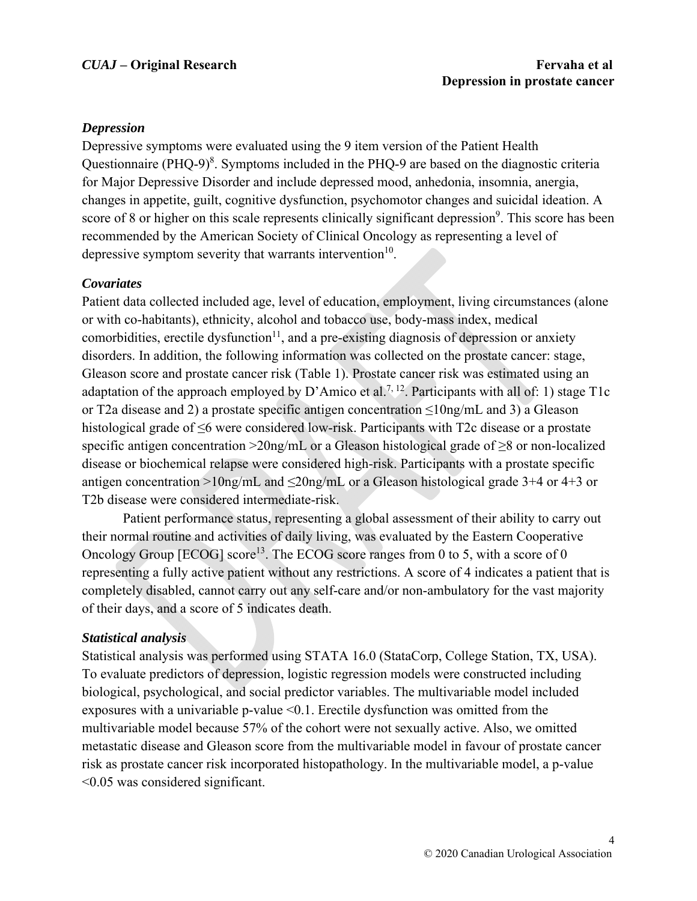## *Depression*

Depressive symptoms were evaluated using the 9 item version of the Patient Health Questionnaire (PHQ-9) $\text{8}$ . Symptoms included in the PHQ-9 are based on the diagnostic criteria for Major Depressive Disorder and include depressed mood, anhedonia, insomnia, anergia, changes in appetite, guilt, cognitive dysfunction, psychomotor changes and suicidal ideation. A score of 8 or higher on this scale represents clinically significant depression<sup>9</sup>. This score has been recommended by the American Society of Clinical Oncology as representing a level of depressive symptom severity that warrants intervention<sup>10</sup>.

## *Covariates*

Patient data collected included age, level of education, employment, living circumstances (alone or with co-habitants), ethnicity, alcohol and tobacco use, body-mass index, medical comorbidities, erectile dysfunction<sup>11</sup>, and a pre-existing diagnosis of depression or anxiety disorders. In addition, the following information was collected on the prostate cancer: stage, Gleason score and prostate cancer risk (Table 1). Prostate cancer risk was estimated using an adaptation of the approach employed by D'Amico et al.<sup>7, 12</sup>. Participants with all of: 1) stage T1c or T2a disease and 2) a prostate specific antigen concentration ≤10ng/mL and 3) a Gleason histological grade of ≤6 were considered low-risk. Participants with T2c disease or a prostate specific antigen concentration >20ng/mL or a Gleason histological grade of ≥8 or non-localized disease or biochemical relapse were considered high-risk. Participants with a prostate specific antigen concentration >10ng/mL and  $\leq$ 20ng/mL or a Gleason histological grade 3+4 or 4+3 or T2b disease were considered intermediate-risk.

Patient performance status, representing a global assessment of their ability to carry out their normal routine and activities of daily living, was evaluated by the Eastern Cooperative Oncology Group [ECOG] score<sup>13</sup>. The ECOG score ranges from 0 to 5, with a score of 0 representing a fully active patient without any restrictions. A score of 4 indicates a patient that is completely disabled, cannot carry out any self-care and/or non-ambulatory for the vast majority of their days, and a score of 5 indicates death.

## *Statistical analysis*

Statistical analysis was performed using STATA 16.0 (StataCorp, College Station, TX, USA). To evaluate predictors of depression, logistic regression models were constructed including biological, psychological, and social predictor variables. The multivariable model included exposures with a univariable p-value <0.1. Erectile dysfunction was omitted from the multivariable model because 57% of the cohort were not sexually active. Also, we omitted metastatic disease and Gleason score from the multivariable model in favour of prostate cancer risk as prostate cancer risk incorporated histopathology. In the multivariable model, a p-value <0.05 was considered significant.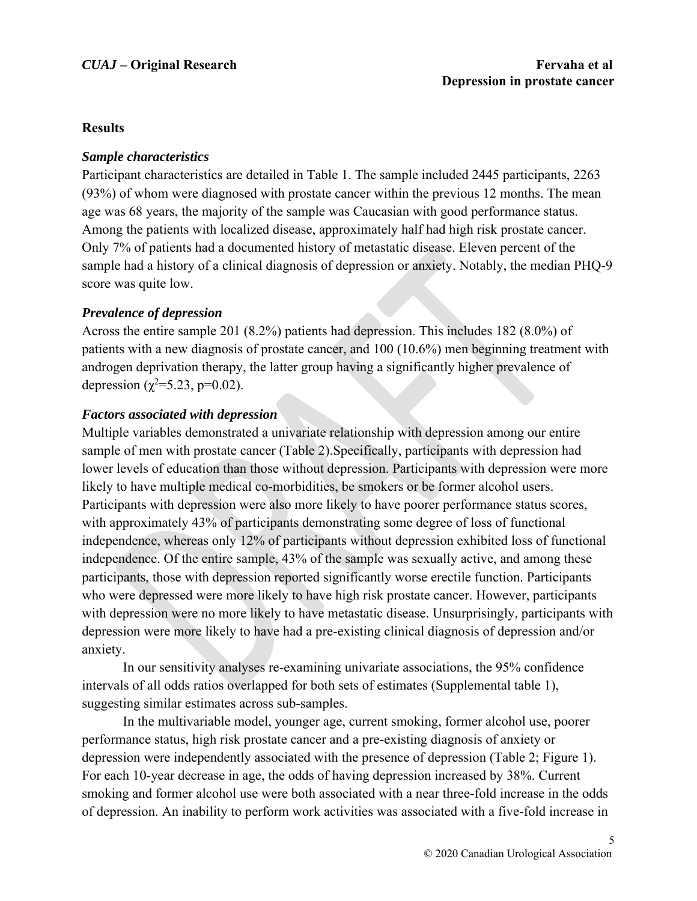## **Results**

## *Sample characteristics*

Participant characteristics are detailed in Table 1. The sample included 2445 participants, 2263 (93%) of whom were diagnosed with prostate cancer within the previous 12 months. The mean age was 68 years, the majority of the sample was Caucasian with good performance status. Among the patients with localized disease, approximately half had high risk prostate cancer. Only 7% of patients had a documented history of metastatic disease. Eleven percent of the sample had a history of a clinical diagnosis of depression or anxiety. Notably, the median PHQ-9 score was quite low.

## *Prevalence of depression*

Across the entire sample 201 (8.2%) patients had depression. This includes 182 (8.0%) of patients with a new diagnosis of prostate cancer, and 100 (10.6%) men beginning treatment with androgen deprivation therapy, the latter group having a significantly higher prevalence of depression ( $\chi^2$ =5.23, p=0.02).

## *Factors associated with depression*

Multiple variables demonstrated a univariate relationship with depression among our entire sample of men with prostate cancer (Table 2).Specifically, participants with depression had lower levels of education than those without depression. Participants with depression were more likely to have multiple medical co-morbidities, be smokers or be former alcohol users. Participants with depression were also more likely to have poorer performance status scores, with approximately 43% of participants demonstrating some degree of loss of functional independence, whereas only 12% of participants without depression exhibited loss of functional independence. Of the entire sample, 43% of the sample was sexually active, and among these participants, those with depression reported significantly worse erectile function. Participants who were depressed were more likely to have high risk prostate cancer. However, participants with depression were no more likely to have metastatic disease. Unsurprisingly, participants with depression were more likely to have had a pre-existing clinical diagnosis of depression and/or anxiety.

In our sensitivity analyses re-examining univariate associations, the 95% confidence intervals of all odds ratios overlapped for both sets of estimates (Supplemental table 1), suggesting similar estimates across sub-samples.

In the multivariable model, younger age, current smoking, former alcohol use, poorer performance status, high risk prostate cancer and a pre-existing diagnosis of anxiety or depression were independently associated with the presence of depression (Table 2; Figure 1). For each 10-year decrease in age, the odds of having depression increased by 38%. Current smoking and former alcohol use were both associated with a near three-fold increase in the odds of depression. An inability to perform work activities was associated with a five-fold increase in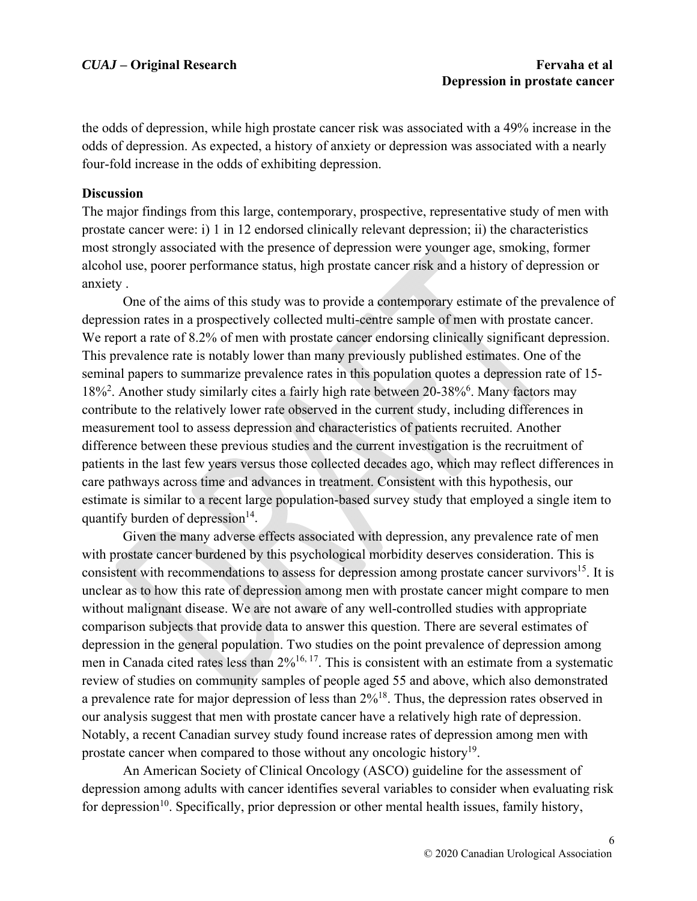the odds of depression, while high prostate cancer risk was associated with a 49% increase in the odds of depression. As expected, a history of anxiety or depression was associated with a nearly four-fold increase in the odds of exhibiting depression.

#### **Discussion**

The major findings from this large, contemporary, prospective, representative study of men with prostate cancer were: i) 1 in 12 endorsed clinically relevant depression; ii) the characteristics most strongly associated with the presence of depression were younger age, smoking, former alcohol use, poorer performance status, high prostate cancer risk and a history of depression or anxiety .

One of the aims of this study was to provide a contemporary estimate of the prevalence of depression rates in a prospectively collected multi-centre sample of men with prostate cancer. We report a rate of 8.2% of men with prostate cancer endorsing clinically significant depression. This prevalence rate is notably lower than many previously published estimates. One of the seminal papers to summarize prevalence rates in this population quotes a depression rate of 15- 18%<sup>2</sup>. Another study similarly cites a fairly high rate between 20-38%<sup>6</sup>. Many factors may contribute to the relatively lower rate observed in the current study, including differences in measurement tool to assess depression and characteristics of patients recruited. Another difference between these previous studies and the current investigation is the recruitment of patients in the last few years versus those collected decades ago, which may reflect differences in care pathways across time and advances in treatment. Consistent with this hypothesis, our estimate is similar to a recent large population-based survey study that employed a single item to quantify burden of depression $14$ .

Given the many adverse effects associated with depression, any prevalence rate of men with prostate cancer burdened by this psychological morbidity deserves consideration. This is consistent with recommendations to assess for depression among prostate cancer survivors<sup>15</sup>. It is unclear as to how this rate of depression among men with prostate cancer might compare to men without malignant disease. We are not aware of any well-controlled studies with appropriate comparison subjects that provide data to answer this question. There are several estimates of depression in the general population. Two studies on the point prevalence of depression among men in Canada cited rates less than  $2\%^{16, 17}$ . This is consistent with an estimate from a systematic review of studies on community samples of people aged 55 and above, which also demonstrated a prevalence rate for major depression of less than 2%18. Thus, the depression rates observed in our analysis suggest that men with prostate cancer have a relatively high rate of depression. Notably, a recent Canadian survey study found increase rates of depression among men with prostate cancer when compared to those without any oncologic history<sup>19</sup>.

An American Society of Clinical Oncology (ASCO) guideline for the assessment of depression among adults with cancer identifies several variables to consider when evaluating risk for depression<sup>10</sup>. Specifically, prior depression or other mental health issues, family history,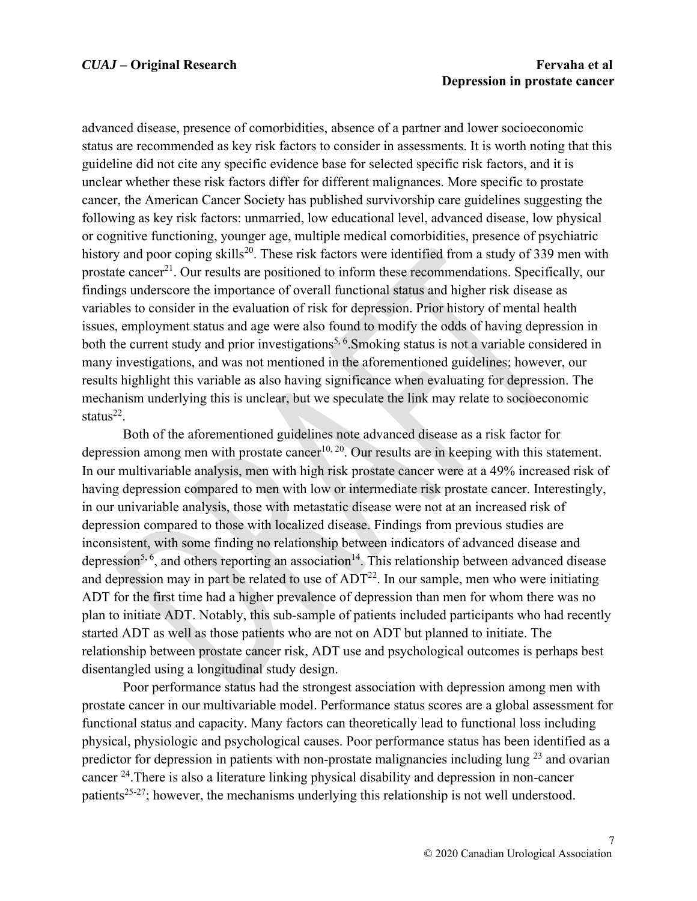advanced disease, presence of comorbidities, absence of a partner and lower socioeconomic status are recommended as key risk factors to consider in assessments. It is worth noting that this guideline did not cite any specific evidence base for selected specific risk factors, and it is unclear whether these risk factors differ for different malignances. More specific to prostate cancer, the American Cancer Society has published survivorship care guidelines suggesting the following as key risk factors: unmarried, low educational level, advanced disease, low physical or cognitive functioning, younger age, multiple medical comorbidities, presence of psychiatric history and poor coping skills<sup>20</sup>. These risk factors were identified from a study of 339 men with prostate cancer<sup>21</sup>. Our results are positioned to inform these recommendations. Specifically, our findings underscore the importance of overall functional status and higher risk disease as variables to consider in the evaluation of risk for depression. Prior history of mental health issues, employment status and age were also found to modify the odds of having depression in both the current study and prior investigations<sup>5, 6</sup>. Smoking status is not a variable considered in many investigations, and was not mentioned in the aforementioned guidelines; however, our results highlight this variable as also having significance when evaluating for depression. The mechanism underlying this is unclear, but we speculate the link may relate to socioeconomic status $^{22}$ .

Both of the aforementioned guidelines note advanced disease as a risk factor for depression among men with prostate cancer<sup>10, 20</sup>. Our results are in keeping with this statement. In our multivariable analysis, men with high risk prostate cancer were at a 49% increased risk of having depression compared to men with low or intermediate risk prostate cancer. Interestingly, in our univariable analysis, those with metastatic disease were not at an increased risk of depression compared to those with localized disease. Findings from previous studies are inconsistent, with some finding no relationship between indicators of advanced disease and depression<sup>5, 6</sup>, and others reporting an association<sup>14</sup>. This relationship between advanced disease and depression may in part be related to use of  $ADT<sup>22</sup>$ . In our sample, men who were initiating ADT for the first time had a higher prevalence of depression than men for whom there was no plan to initiate ADT. Notably, this sub-sample of patients included participants who had recently started ADT as well as those patients who are not on ADT but planned to initiate. The relationship between prostate cancer risk, ADT use and psychological outcomes is perhaps best disentangled using a longitudinal study design.

Poor performance status had the strongest association with depression among men with prostate cancer in our multivariable model. Performance status scores are a global assessment for functional status and capacity. Many factors can theoretically lead to functional loss including physical, physiologic and psychological causes. Poor performance status has been identified as a predictor for depression in patients with non-prostate malignancies including lung  $^{23}$  and ovarian cancer 24.There is also a literature linking physical disability and depression in non-cancer patients<sup>25-27</sup>; however, the mechanisms underlying this relationship is not well understood.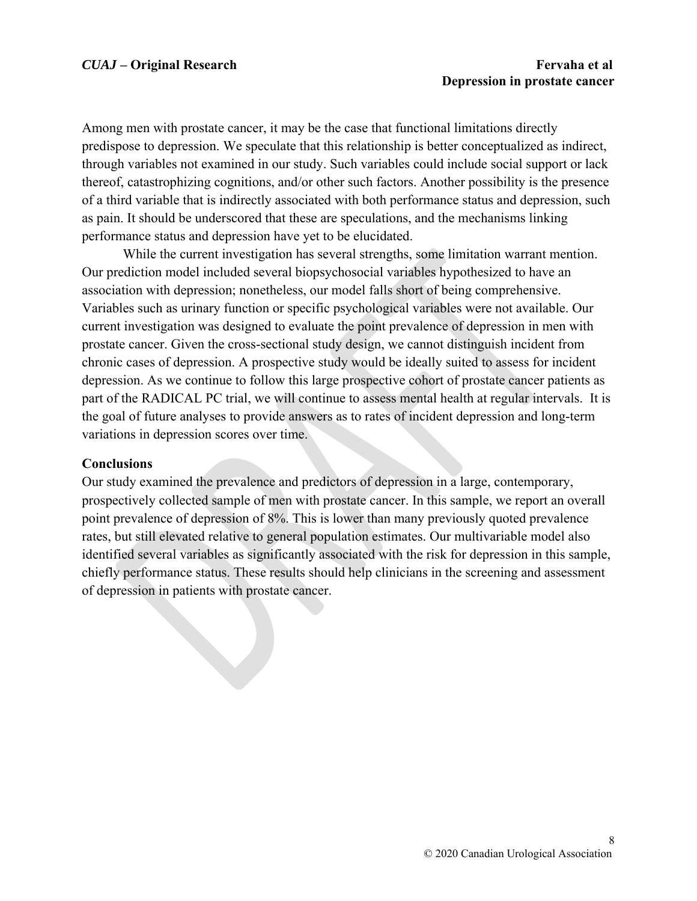Among men with prostate cancer, it may be the case that functional limitations directly predispose to depression. We speculate that this relationship is better conceptualized as indirect, through variables not examined in our study. Such variables could include social support or lack thereof, catastrophizing cognitions, and/or other such factors. Another possibility is the presence of a third variable that is indirectly associated with both performance status and depression, such as pain. It should be underscored that these are speculations, and the mechanisms linking performance status and depression have yet to be elucidated.

While the current investigation has several strengths, some limitation warrant mention. Our prediction model included several biopsychosocial variables hypothesized to have an association with depression; nonetheless, our model falls short of being comprehensive. Variables such as urinary function or specific psychological variables were not available. Our current investigation was designed to evaluate the point prevalence of depression in men with prostate cancer. Given the cross-sectional study design, we cannot distinguish incident from chronic cases of depression. A prospective study would be ideally suited to assess for incident depression. As we continue to follow this large prospective cohort of prostate cancer patients as part of the RADICAL PC trial, we will continue to assess mental health at regular intervals. It is the goal of future analyses to provide answers as to rates of incident depression and long-term variations in depression scores over time.

#### **Conclusions**

Our study examined the prevalence and predictors of depression in a large, contemporary, prospectively collected sample of men with prostate cancer. In this sample, we report an overall point prevalence of depression of 8%. This is lower than many previously quoted prevalence rates, but still elevated relative to general population estimates. Our multivariable model also identified several variables as significantly associated with the risk for depression in this sample, chiefly performance status. These results should help clinicians in the screening and assessment of depression in patients with prostate cancer.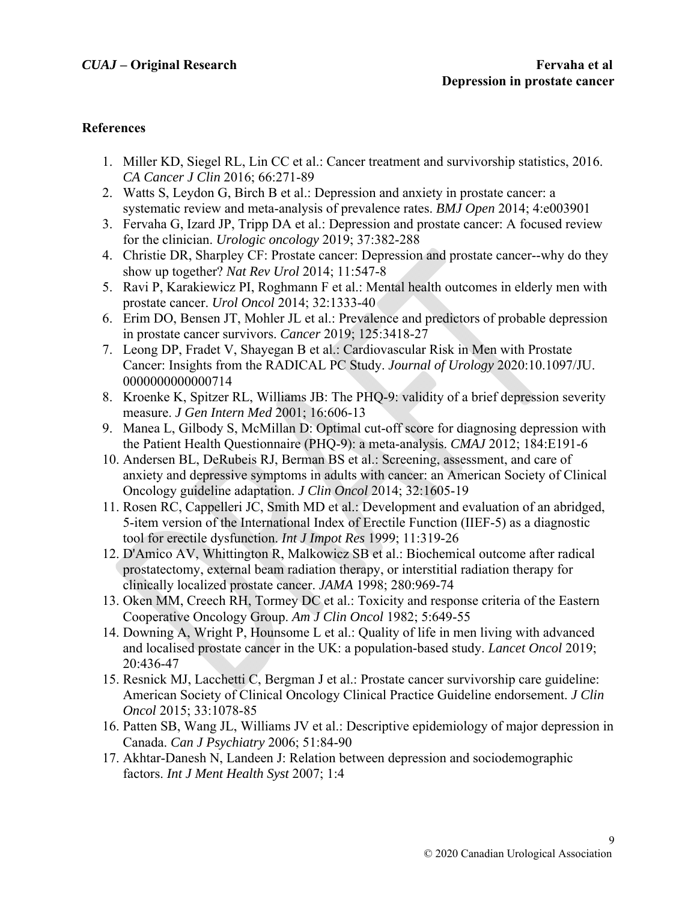## **References**

- 1. Miller KD, Siegel RL, Lin CC et al.: Cancer treatment and survivorship statistics, 2016. *CA Cancer J Clin* 2016; 66:271-89
- 2. Watts S, Leydon G, Birch B et al.: Depression and anxiety in prostate cancer: a systematic review and meta-analysis of prevalence rates. *BMJ Open* 2014; 4:e003901
- 3. Fervaha G, Izard JP, Tripp DA et al.: Depression and prostate cancer: A focused review for the clinician. *Urologic oncology* 2019; 37:382-288
- 4. Christie DR, Sharpley CF: Prostate cancer: Depression and prostate cancer--why do they show up together? *Nat Rev Urol* 2014; 11:547-8
- 5. Ravi P, Karakiewicz PI, Roghmann F et al.: Mental health outcomes in elderly men with prostate cancer. *Urol Oncol* 2014; 32:1333-40
- 6. Erim DO, Bensen JT, Mohler JL et al.: Prevalence and predictors of probable depression in prostate cancer survivors. *Cancer* 2019; 125:3418-27
- 7. Leong DP, Fradet V, Shayegan B et al.: Cardiovascular Risk in Men with Prostate Cancer: Insights from the RADICAL PC Study. *Journal of Urology* 2020:10.1097/JU. 0000000000000714
- 8. Kroenke K, Spitzer RL, Williams JB: The PHQ-9: validity of a brief depression severity measure. *J Gen Intern Med* 2001; 16:606-13
- 9. Manea L, Gilbody S, McMillan D: Optimal cut-off score for diagnosing depression with the Patient Health Questionnaire (PHQ-9): a meta-analysis. *CMAJ* 2012; 184:E191-6
- 10. Andersen BL, DeRubeis RJ, Berman BS et al.: Screening, assessment, and care of anxiety and depressive symptoms in adults with cancer: an American Society of Clinical Oncology guideline adaptation. *J Clin Oncol* 2014; 32:1605-19
- 11. Rosen RC, Cappelleri JC, Smith MD et al.: Development and evaluation of an abridged, 5-item version of the International Index of Erectile Function (IIEF-5) as a diagnostic tool for erectile dysfunction. *Int J Impot Res* 1999; 11:319-26
- 12. D'Amico AV, Whittington R, Malkowicz SB et al.: Biochemical outcome after radical prostatectomy, external beam radiation therapy, or interstitial radiation therapy for clinically localized prostate cancer. *JAMA* 1998; 280:969-74
- 13. Oken MM, Creech RH, Tormey DC et al.: Toxicity and response criteria of the Eastern Cooperative Oncology Group. *Am J Clin Oncol* 1982; 5:649-55
- 14. Downing A, Wright P, Hounsome L et al.: Quality of life in men living with advanced and localised prostate cancer in the UK: a population-based study. *Lancet Oncol* 2019; 20:436-47
- 15. Resnick MJ, Lacchetti C, Bergman J et al.: Prostate cancer survivorship care guideline: American Society of Clinical Oncology Clinical Practice Guideline endorsement. *J Clin Oncol* 2015; 33:1078-85
- 16. Patten SB, Wang JL, Williams JV et al.: Descriptive epidemiology of major depression in Canada. *Can J Psychiatry* 2006; 51:84-90
- 17. Akhtar-Danesh N, Landeen J: Relation between depression and sociodemographic factors. *Int J Ment Health Syst* 2007; 1:4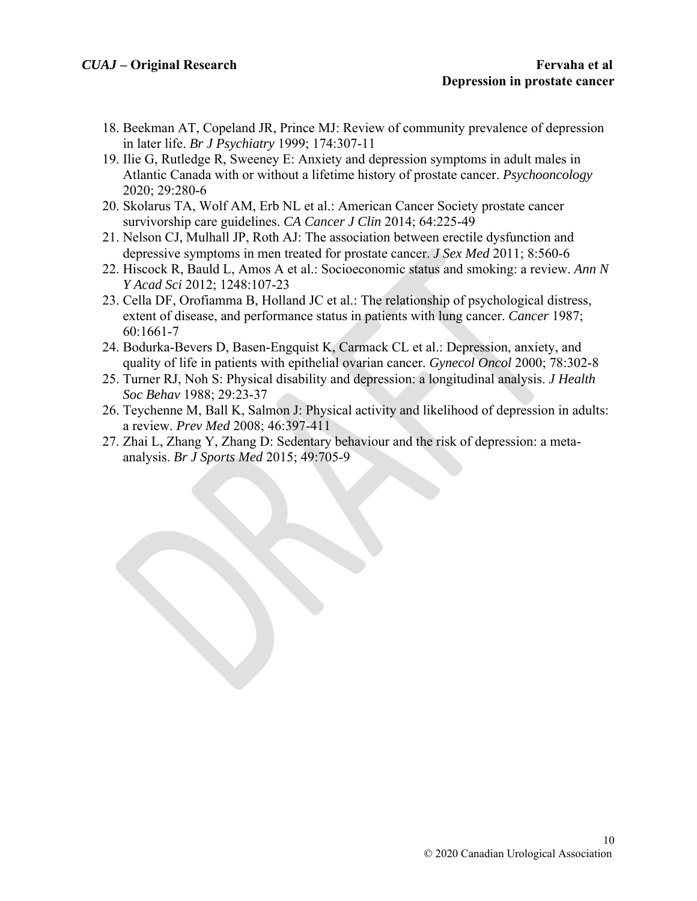- 18. Beekman AT, Copeland JR, Prince MJ: Review of community prevalence of depression in later life. *Br J Psychiatry* 1999; 174:307-11
- 19. Ilie G, Rutledge R, Sweeney E: Anxiety and depression symptoms in adult males in Atlantic Canada with or without a lifetime history of prostate cancer. *Psychooncology* 2020; 29:280-6
- 20. Skolarus TA, Wolf AM, Erb NL et al.: American Cancer Society prostate cancer survivorship care guidelines. *CA Cancer J Clin* 2014; 64:225-49
- 21. Nelson CJ, Mulhall JP, Roth AJ: The association between erectile dysfunction and depressive symptoms in men treated for prostate cancer. *J Sex Med* 2011; 8:560-6
- 22. Hiscock R, Bauld L, Amos A et al.: Socioeconomic status and smoking: a review. *Ann N Y Acad Sci* 2012; 1248:107-23
- 23. Cella DF, Orofiamma B, Holland JC et al.: The relationship of psychological distress, extent of disease, and performance status in patients with lung cancer. *Cancer* 1987; 60:1661-7
- 24. Bodurka-Bevers D, Basen-Engquist K, Carmack CL et al.: Depression, anxiety, and quality of life in patients with epithelial ovarian cancer. *Gynecol Oncol* 2000; 78:302-8
- 25. Turner RJ, Noh S: Physical disability and depression: a longitudinal analysis. *J Health Soc Behav* 1988; 29:23-37
- 26. Teychenne M, Ball K, Salmon J: Physical activity and likelihood of depression in adults: a review. *Prev Med* 2008; 46:397-411
- 27. Zhai L, Zhang Y, Zhang D: Sedentary behaviour and the risk of depression: a metaanalysis. *Br J Sports Med* 2015; 49:705-9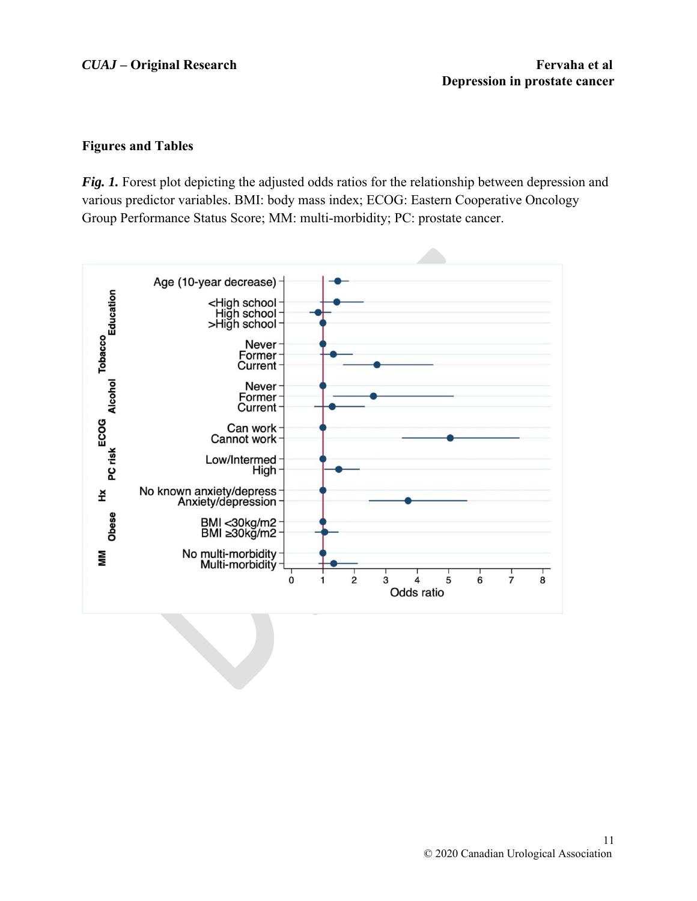## **Figures and Tables**

*Fig. 1.* Forest plot depicting the adjusted odds ratios for the relationship between depression and various predictor variables. BMI: body mass index; ECOG: Eastern Cooperative Oncology Group Performance Status Score; MM: multi-morbidity; PC: prostate cancer.

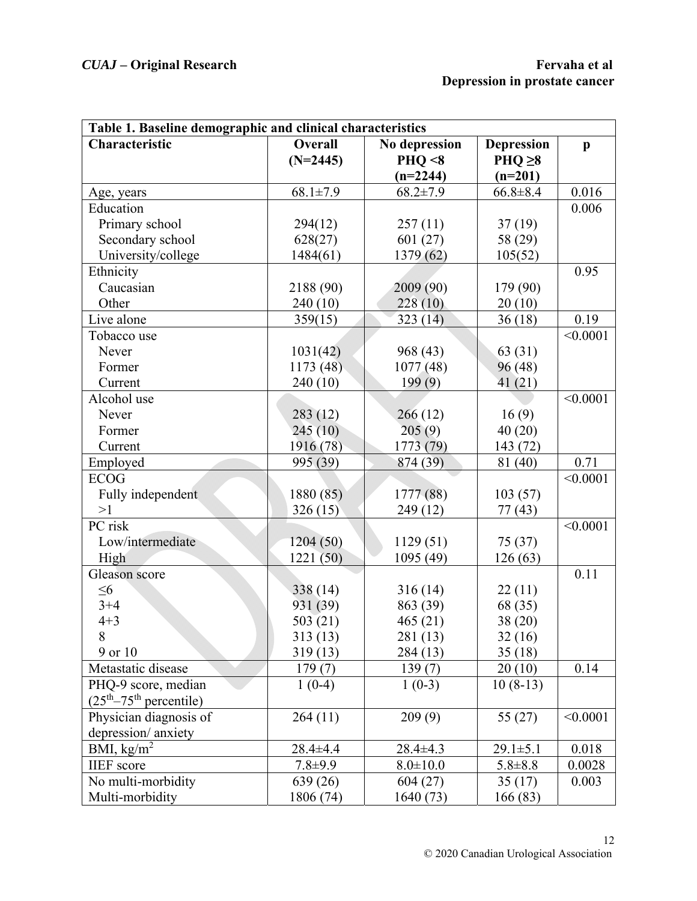| Table 1. Baseline demographic and clinical characteristics |                |                |                   |              |  |  |  |
|------------------------------------------------------------|----------------|----------------|-------------------|--------------|--|--|--|
| Characteristic                                             | <b>Overall</b> | No depression  | <b>Depression</b> | $\mathbf{p}$ |  |  |  |
|                                                            | $(N=2445)$     | PHQ < 8        | $PHQ \geq 8$      |              |  |  |  |
|                                                            |                | $(n=2244)$     | $(n=201)$         |              |  |  |  |
| Age, years                                                 | $68.1 \pm 7.9$ | $68.2 \pm 7.9$ | $66.8 \pm 8.4$    | 0.016        |  |  |  |
| Education                                                  |                |                |                   | 0.006        |  |  |  |
| Primary school                                             | 294(12)        | 257(11)        | 37(19)            |              |  |  |  |
| Secondary school                                           | 628(27)        | 601(27)        | 58 (29)           |              |  |  |  |
| University/college                                         | 1484(61)       | 1379 (62)      | 105(52)           |              |  |  |  |
| Ethnicity                                                  |                |                |                   | 0.95         |  |  |  |
| Caucasian                                                  | 2188 (90)      | 2009 (90)      | 179 (90)          |              |  |  |  |
| Other                                                      | 240 (10)       | 228(10)        | 20(10)            |              |  |  |  |
| Live alone                                                 | 359(15)        | 323(14)        | 36(18)            | 0.19         |  |  |  |
| Tobacco use                                                |                |                |                   | < 0.0001     |  |  |  |
| Never                                                      | 1031(42)       | 968 (43)       | 63(31)            |              |  |  |  |
| Former                                                     | 1173(48)       | 1077(48)       | 96(48)            |              |  |  |  |
| Current                                                    | 240(10)        | 199(9)         | 41(21)            |              |  |  |  |
| Alcohol use                                                |                |                |                   | < 0.0001     |  |  |  |
| Never                                                      | 283(12)        | 266 (12)       | 16(9)             |              |  |  |  |
| Former                                                     | 245(10)        | 205(9)         | 40(20)            |              |  |  |  |
| Current                                                    | 1916 (78)      | 1773 (79)      | 143 (72)          |              |  |  |  |
| Employed                                                   | 995 (39)       | 874 (39)       | 81 (40)           | 0.71         |  |  |  |
| <b>ECOG</b>                                                |                |                |                   | < 0.0001     |  |  |  |
| Fully independent                                          | 1880 (85)      | 1777 (88)      | 103(57)           |              |  |  |  |
| >1                                                         | 326(15)        | 249 (12)       | 77(43)            |              |  |  |  |
| PC risk                                                    |                |                |                   | < 0.0001     |  |  |  |
| Low/intermediate                                           | 1204(50)       | 1129(51)       | 75 (37)           |              |  |  |  |
| High                                                       | 1221(50)       | 1095(49)       | 126(63)           |              |  |  |  |
| Gleason score                                              |                |                |                   | 0.11         |  |  |  |
| $\leq 6$                                                   | 338 (14)       | 316(14)        | 22(11)            |              |  |  |  |
| $3 + 4$                                                    | 931 (39)       | 863 (39)       | 68 (35)           |              |  |  |  |
| $4 + 3$                                                    | 503(21)        | 465(21)        | 38(20)            |              |  |  |  |
| 8                                                          | 313(13)        | 281 (13)       | 32(16)            |              |  |  |  |
| 9 or 10                                                    | 319(13)        | 284 (13)       | 35(18)            |              |  |  |  |
| Metastatic disease                                         | 179(7)         | 139(7)         | 20(10)            | 0.14         |  |  |  |
| PHQ-9 score, median                                        | $1(0-4)$       | $1(0-3)$       | $10(8-13)$        |              |  |  |  |
| $(25th - 75th$ percentile)                                 |                |                |                   |              |  |  |  |
| Physician diagnosis of                                     | 264(11)        | 209(9)         | 55 $(27)$         | < 0.0001     |  |  |  |
| depression/anxiety                                         |                |                |                   |              |  |  |  |
| BMI, $\text{kg/m}^2$                                       | 28.4±4.4       | $28.4 \pm 4.3$ | $29.1 \pm 5.1$    | 0.018        |  |  |  |
| <b>IIEF</b> score                                          | $7.8 + 9.9$    | $8.0 \pm 10.0$ | $5.8 \pm 8.8$     | 0.0028       |  |  |  |
| No multi-morbidity                                         | 639 (26)       | 604(27)        | 35(17)            | 0.003        |  |  |  |
| Multi-morbidity                                            | 1806 (74)      | 1640(73)       | 166(83)           |              |  |  |  |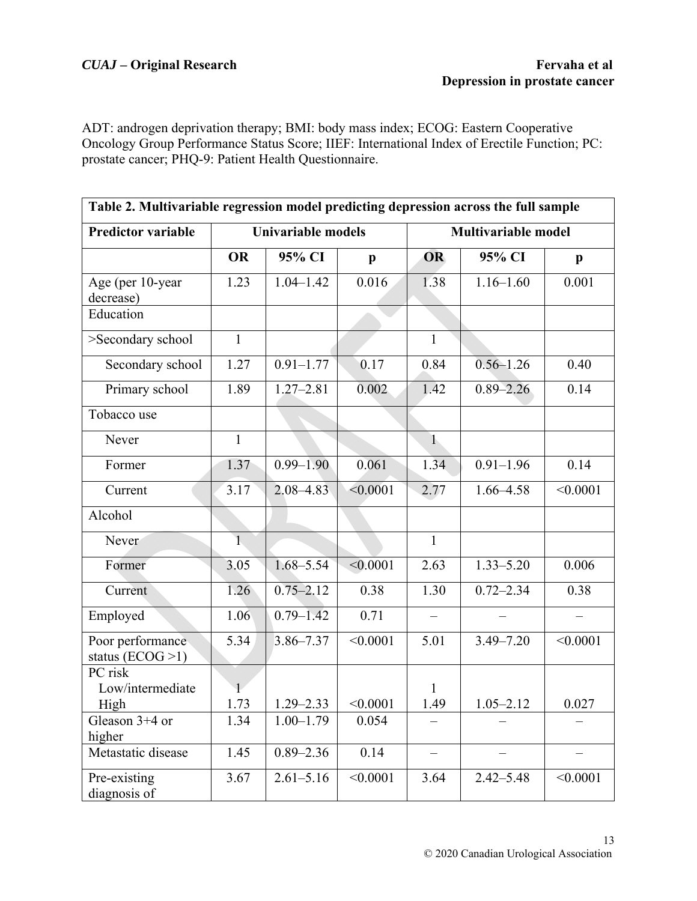ADT: androgen deprivation therapy; BMI: body mass index; ECOG: Eastern Cooperative Oncology Group Performance Status Score; IIEF: International Index of Erectile Function; PC: prostate cancer; PHQ-9: Patient Health Questionnaire.

| Table 2. Multivariable regression model predicting depression across the full sample |                           |               |              |                          |               |              |
|--------------------------------------------------------------------------------------|---------------------------|---------------|--------------|--------------------------|---------------|--------------|
| <b>Predictor variable</b>                                                            | <b>Univariable models</b> |               |              | Multivariable model      |               |              |
|                                                                                      | <b>OR</b>                 | 95% CI        | $\mathbf{p}$ | <b>OR</b>                | 95% CI        | $\mathbf{p}$ |
| Age (per 10-year<br>decrease)                                                        | 1.23                      | $1.04 - 1.42$ | 0.016        | 1.38                     | $1.16 - 1.60$ | 0.001        |
| Education                                                                            |                           |               |              |                          |               |              |
| >Secondary school                                                                    | $\mathbf{1}$              |               |              | $\mathbf{1}$             |               |              |
| Secondary school                                                                     | 1.27                      | $0.91 - 1.77$ | 0.17         | 0.84                     | $0.56 - 1.26$ | 0.40         |
| Primary school                                                                       | 1.89                      | $1.27 - 2.81$ | 0.002        | 1.42                     | $0.89 - 2.26$ | 0.14         |
| Tobacco use                                                                          |                           |               |              |                          |               |              |
| Never                                                                                | $\mathbf{1}$              |               |              | $\mathbf{1}$             |               |              |
| Former                                                                               | 1.37                      | $0.99 - 1.90$ | 0.061        | 1.34                     | $0.91 - 1.96$ | 0.14         |
| Current                                                                              | 3.17                      | $2.08 - 4.83$ | < 0.0001     | 2.77                     | 1.66-4.58     | < 0.0001     |
| Alcohol                                                                              |                           |               |              |                          |               |              |
| Never                                                                                | $\overline{1}$            |               |              | $\mathbf{1}$             |               |              |
| Former                                                                               | 3.05                      | $1.68 - 5.54$ | < 0.0001     | 2.63                     | $1.33 - 5.20$ | 0.006        |
| Current                                                                              | 1.26                      | $0.75 - 2.12$ | 0.38         | 1.30                     | $0.72 - 2.34$ | 0.38         |
| Employed                                                                             | 1.06                      | $0.79 - 1.42$ | 0.71         |                          |               |              |
| Poor performance<br>status (ECOG $>1$ )                                              | 5.34                      | $3.86 - 7.37$ | < 0.0001     | 5.01                     | $3.49 - 7.20$ | < 0.0001     |
| PC risk<br>Low/intermediate                                                          |                           |               |              |                          |               |              |
| High                                                                                 | 1.73                      | 1.29 - 2.33   | < 0.0001     | 1<br>1.49                | $1.05 - 2.12$ | 0.027        |
| Gleason $3+4$ or<br>higher                                                           | 1.34                      | $1.00 - 1.79$ | 0.054        |                          |               |              |
| Metastatic disease                                                                   | 1.45                      | $0.89 - 2.36$ | 0.14         | $\overline{\phantom{m}}$ |               |              |
| Pre-existing<br>diagnosis of                                                         | 3.67                      | $2.61 - 5.16$ | < 0.0001     | 3.64                     | $2.42 - 5.48$ | < 0.0001     |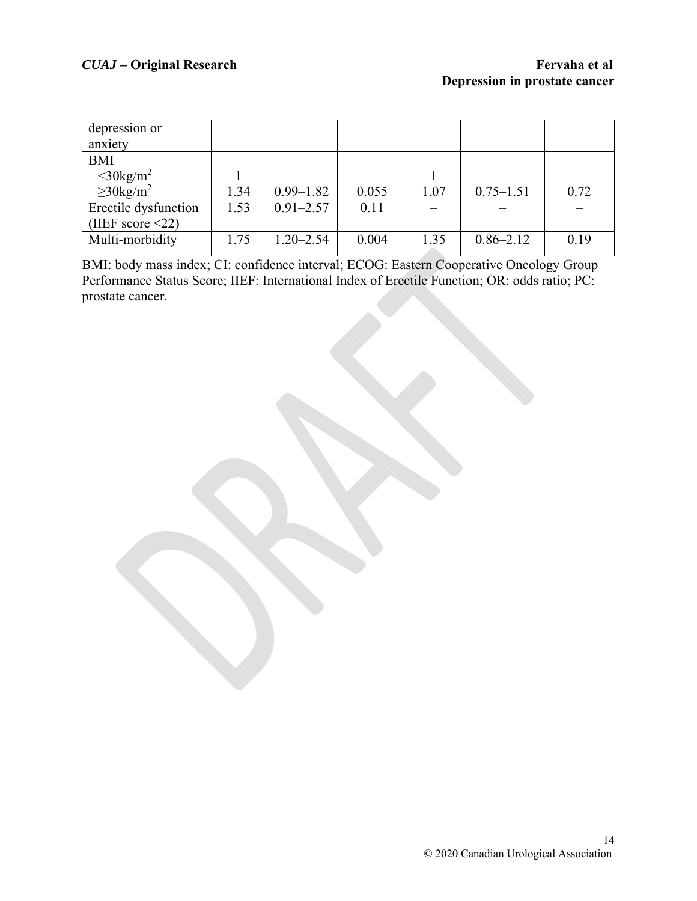| depression or                      |      |               |       |      |               |      |
|------------------------------------|------|---------------|-------|------|---------------|------|
| anxiety                            |      |               |       |      |               |      |
| <b>BMI</b>                         |      |               |       |      |               |      |
| $\langle 30 \text{kg/m}^2 \rangle$ |      |               |       |      |               |      |
| $\geq$ 30kg/m <sup>2</sup>         | 1.34 | $0.99 - 1.82$ | 0.055 | 1.07 | $0.75 - 1.51$ | 0.72 |
| Erectile dysfunction               | 1.53 | $0.91 - 2.57$ | 0.11  |      |               |      |
| (IIEF score $\leq$ 22)             |      |               |       |      |               |      |
| Multi-morbidity                    | 1.75 | $1.20 - 2.54$ | 0.004 | 1.35 | $0.86 - 2.12$ | 0.19 |
|                                    |      |               |       |      |               |      |

BMI: body mass index; CI: confidence interval; ECOG: Eastern Cooperative Oncology Group Performance Status Score; IIEF: International Index of Erectile Function; OR: odds ratio; PC: prostate cancer.